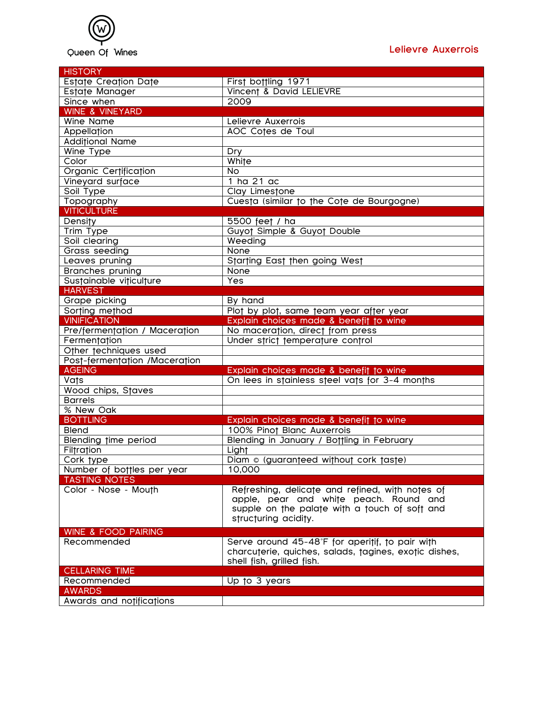

| <b>HISTORY</b>                     |                                                       |
|------------------------------------|-------------------------------------------------------|
| Estate Creation Date               | First bottling 1971                                   |
| Estate Manager                     | Vincent & David LELIEVRE                              |
| Since when                         | 2009                                                  |
| <b>WINE &amp; VINEYARD</b>         |                                                       |
| Wine Name                          | Lelievre Auxerrois                                    |
| Appellation                        | AOC Cotes de Toul                                     |
| <b>Additional Name</b>             |                                                       |
| Wine Type                          | Dry                                                   |
| Color                              | White                                                 |
| Organic Certification              | <b>No</b>                                             |
| Vineyard surface                   | 1 ha 21 ac                                            |
| Soil Type                          | Clay Limestone                                        |
| Topography                         | Cuesta (similar to the Cote de Bourgogne)             |
| <b>VITICULTURE</b>                 |                                                       |
| Density                            | 5500 feet / ha                                        |
| Trim Type                          | Guyot Simple & Guyot Double                           |
| Soil clearing                      | Weeding                                               |
| Grass seeding                      | None                                                  |
| Leaves pruning                     | Starting East then going West                         |
| <b>Branches pruning</b>            | None                                                  |
| Sustainable viticulture            | Yes                                                   |
| <b>HARVEST</b>                     |                                                       |
| Grape picking                      | By hand                                               |
| Sorting method                     | Plot by plot, same team year after year               |
| <b>VINIFICATION</b>                | Explain choices made & benefit to wine                |
| Pre/fermentation / Maceration      | No maceration, direct from press                      |
| Fermentation                       | Under strict temperature control                      |
| Other techniques used              |                                                       |
| Post-fermentation /Maceration      |                                                       |
| <b>AGEING</b>                      | Explain choices made & benefit to wine                |
| Vats                               | On lees in stainless steel vats for 3-4 months        |
| Wood chips, Staves                 |                                                       |
| <b>Barrels</b>                     |                                                       |
| % New Oak<br><b>BOTTLING</b>       | Explain choices made & benefit to wine                |
| <b>Blend</b>                       | 100% Pinot Blanc Auxerrois                            |
|                                    |                                                       |
| Blending time period<br>Filtration | Blending in January / Bottling in February<br>Light   |
| Cork type                          | Diam © (guaranteed without cork taste)                |
| Number of bottles per year         | 10,000                                                |
| <b>TASTING NOTES</b>               |                                                       |
| Color - Nose - Mouth               | Refreshing, delicate and refined, with notes of       |
|                                    | apple, pear and white peach. Round and                |
|                                    | supple on the palate with a touch of soft and         |
|                                    | structuring acidity.                                  |
|                                    |                                                       |
| <b>WINE &amp; FOOD PAIRING</b>     |                                                       |
| Recommended                        | Serve around 45-48°F for aperitif, to pair with       |
|                                    | charcuterie, quiches, salads, tagines, exotic dishes, |
|                                    | shell fish, grilled fish.                             |
| <b>CELLARING TIME</b>              |                                                       |
| Recommended<br><b>AWARDS</b>       | Up to 3 years                                         |
|                                    |                                                       |
| Awards and notifications           |                                                       |